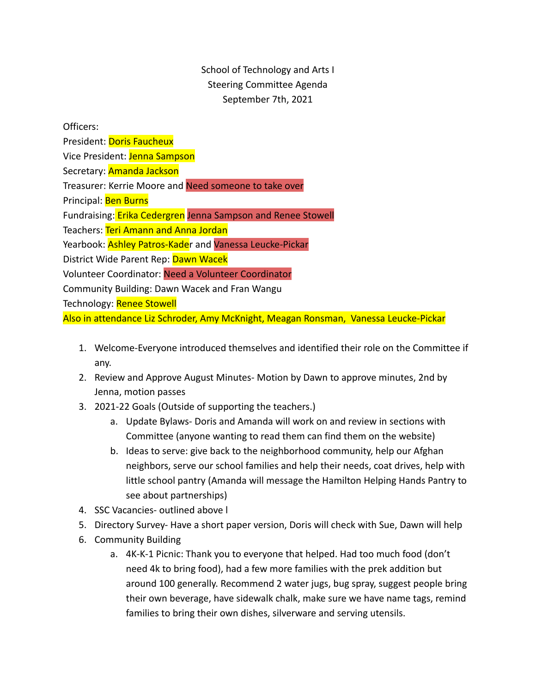## School of Technology and Arts I Steering Committee Agenda September 7th, 2021

Officers:

President: Doris Faucheux

Vice President: Jenna Sampson

Secretary: Amanda Jackson

Treasurer: Kerrie Moore and Need someone to take over

Principal: Ben Burns

Fundraising: Erika Cedergren Jenna Sampson and Renee Stowell

Teachers: Teri Amann and Anna Jordan

Yearbook: Ashley Patros-Kader and Vanessa Leucke-Pickar

District Wide Parent Rep: Dawn Wacek

Volunteer Coordinator: Need a Volunteer Coordinator

Community Building: Dawn Wacek and Fran Wangu

Technology: Renee Stowell

Also in attendance Liz Schroder, Amy McKnight, Meagan Ronsman, Vanessa Leucke-Pickar

- 1. Welcome-Everyone introduced themselves and identified their role on the Committee if any.
- 2. Review and Approve August Minutes- Motion by Dawn to approve minutes, 2nd by Jenna, motion passes
- 3. 2021-22 Goals (Outside of supporting the teachers.)
	- a. Update Bylaws- Doris and Amanda will work on and review in sections with Committee (anyone wanting to read them can find them on the website)
	- b. Ideas to serve: give back to the neighborhood community, help our Afghan neighbors, serve our school families and help their needs, coat drives, help with little school pantry (Amanda will message the Hamilton Helping Hands Pantry to see about partnerships)
- 4. SSC Vacancies- outlined above l
- 5. Directory Survey- Have a short paper version, Doris will check with Sue, Dawn will help
- 6. Community Building
	- a. 4K-K-1 Picnic: Thank you to everyone that helped. Had too much food (don't need 4k to bring food), had a few more families with the prek addition but around 100 generally. Recommend 2 water jugs, bug spray, suggest people bring their own beverage, have sidewalk chalk, make sure we have name tags, remind families to bring their own dishes, silverware and serving utensils.